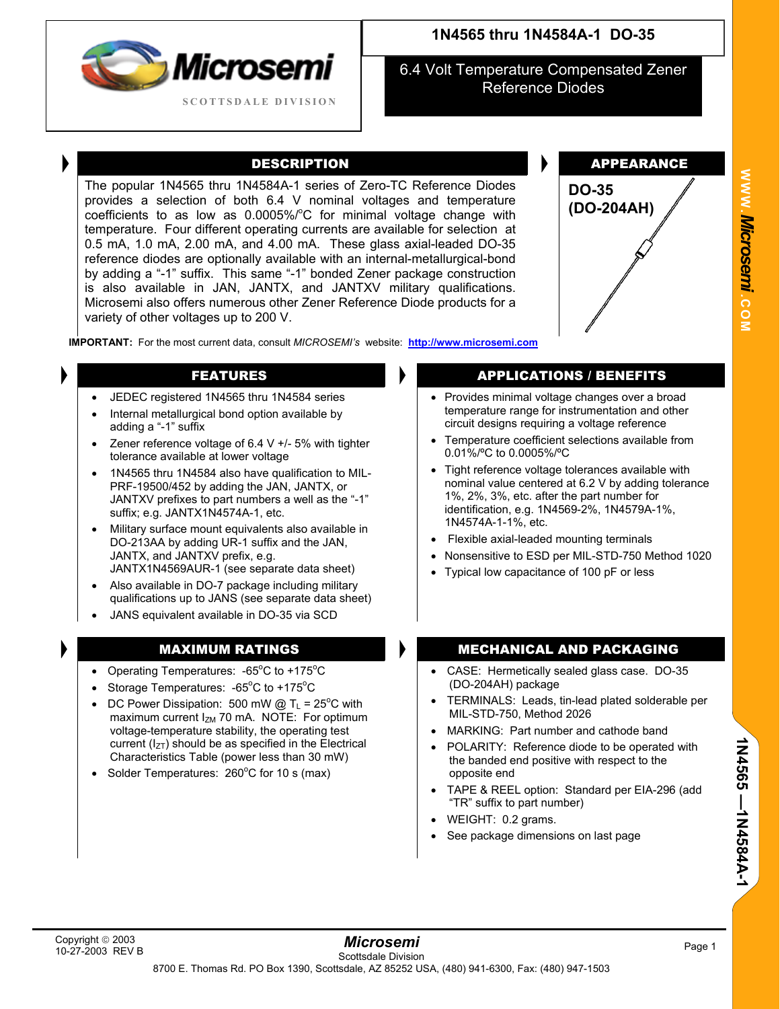

6.4 Volt Temperature Compensated Zener Reference Diodes

The popular 1N4565 thru 1N4584A-1 series of Zero-TC Reference Diodes provides a selection of both 6.4 V nominal voltages and temperature coefficients to as low as  $0.0005\%$   $\degree$ C for minimal voltage change with temperature. Four different operating currents are available for selection at 0.5 mA, 1.0 mA, 2.00 mA, and 4.00 mA. These glass axial-leaded DO-35 reference diodes are optionally available with an internal-metallurgical-bond by adding a "-1" suffix. This same "-1" bonded Zener package construction is also available in JAN, JANTX, and JANTXV military qualifications. Microsemi also offers numerous other Zener Reference Diode products for a variety of other voltages up to 200 V.



**IMPORTANT:** For the most current data, consult *MICROSEMI's* website: **[http://www.microsemi.com](http://www.microsemi.com/)**

- JEDEC registered 1N4565 thru 1N4584 series
- Internal metallurgical bond option available by adding a "-1" suffix
- Zener reference voltage of 6.4 V  $+/-$  5% with tighter tolerance available at lower voltage
- 1N4565 thru 1N4584 also have qualification to MIL-PRF-19500/452 by adding the JAN, JANTX, or JANTXV prefixes to part numbers a well as the "-1" suffix; e.g. JANTX1N4574A-1, etc.
- Military surface mount equivalents also available in DO-213AA by adding UR-1 suffix and the JAN, JANTX, and JANTXV prefix, e.g. JANTX1N4569AUR-1 (see separate data sheet)
- Also available in DO-7 package including military qualifications up to JANS (see separate data sheet)
- JANS equivalent available in DO-35 via SCD

- Operating Temperatures:  $-65^{\circ}$ C to  $+175^{\circ}$ C
- Storage Temperatures:  $-65^{\circ}$ C to  $+175^{\circ}$ C
- DC Power Dissipation: 500 mW @  $T_L = 25^{\circ}C$  with maximum current  $I_{ZM}$  70 mA. NOTE: For optimum voltage-temperature stability, the operating test current ( $I_{ZT}$ ) should be as specified in the Electrical Characteristics Table (power less than 30 mW)
- Solder Temperatures:  $260^{\circ}$ C for 10 s (max)

### **FEATURES APPLICATIONS / BENEFITS**

- Provides minimal voltage changes over a broad temperature range for instrumentation and other circuit designs requiring a voltage reference
- Temperature coefficient selections available from 0.01%/ºC to 0.0005%/ºC
- Tight reference voltage tolerances available with nominal value centered at 6.2 V by adding tolerance 1%, 2%, 3%, etc. after the part number for identification, e.g. 1N4569-2%, 1N4579A-1%, 1N4574A-1-1%, etc.
- Flexible axial-leaded mounting terminals
- Nonsensitive to ESD per MIL-STD-750 Method 1020
- Typical low capacitance of 100 pF or less

### MAXIMUM RATINGS MECHANICAL AND PACKAGING

- CASE: Hermetically sealed glass case. DO-35 (DO-204AH) package
- TERMINALS: Leads, tin-lead plated solderable per MIL-STD-750, Method 2026
- MARKING: Part number and cathode band
- POLARITY: Reference diode to be operated with the banded end positive with respect to the opposite end
- TAPE & REEL option: Standard per EIA-296 (add "TR" suffix to part number)
- WEIGHT: 0.2 grams.
- See package dimensions on last page

**W W W**

*Mi* **.** *crosemi.*

**C O M**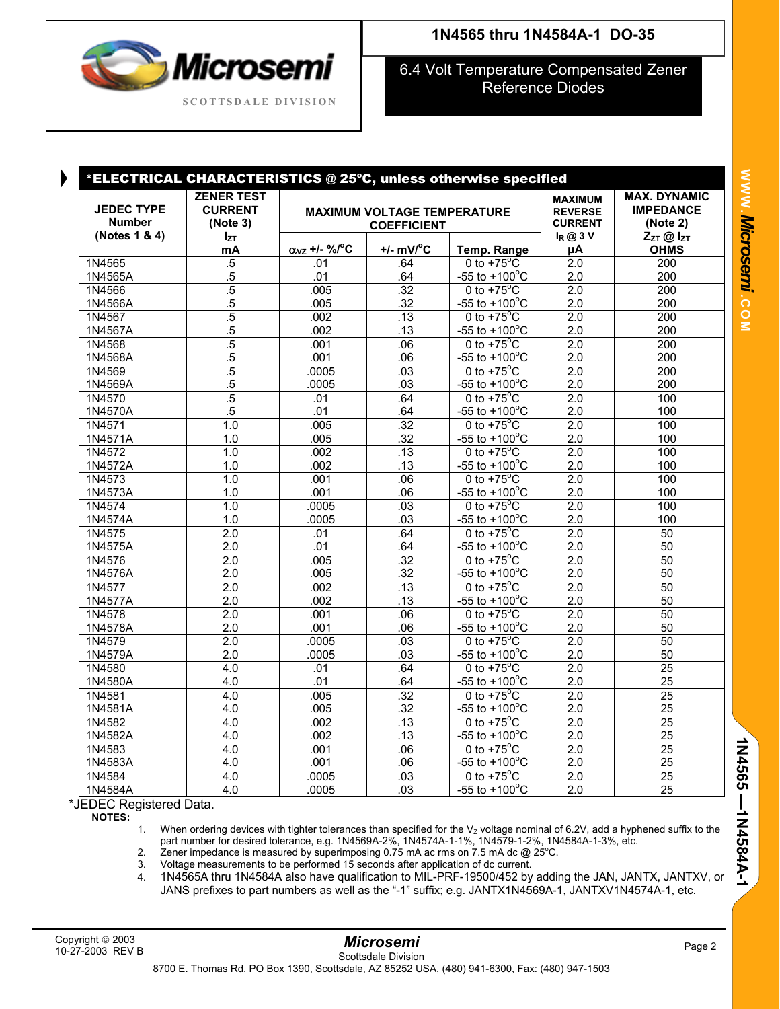

# **1N4565 thru 1N4584A-1 DO-35**

6.4 Volt Temperature Compensated Zener Reference Diodes

| <b>JEDEC TYPE</b><br><b>Number</b><br>(Notes 1 & 4) | <b>ZENER TEST</b><br><b>CURRENT</b><br>(Note 3)<br>$I_{ZT}$<br>mA | *ELECTRICAL CHARACTERISTICS @ 25°C, unless otherwise specified<br><b>MAXIMUM VOLTAGE TEMPERATURE</b><br><b>COEFFICIENT</b> |                        |                                 | <b>MAXIMUM</b><br><b>REVERSE</b><br><b>CURRENT</b> | <b>MAX. DYNAMIC</b><br><b>IMPEDANCE</b><br>(Note 2) |  |
|-----------------------------------------------------|-------------------------------------------------------------------|----------------------------------------------------------------------------------------------------------------------------|------------------------|---------------------------------|----------------------------------------------------|-----------------------------------------------------|--|
|                                                     |                                                                   | $\alpha_{VZ}$ +/- %/°C                                                                                                     | $+/-$ mV/ $^{\circ}$ C | Temp. Range                     | $I_R @ 3V$<br>μA                                   | $Z_{ZT}$ @ $I_{ZT}$<br><b>OHMS</b>                  |  |
| 1N4565                                              | .5                                                                | .01                                                                                                                        | .64                    | 0 to $+75^{\circ}$ C            | $\overline{2.0}$                                   | 200                                                 |  |
| 1N4565A                                             | $.5\,$                                                            | .01                                                                                                                        | .64                    | -55 to $+100^{\circ}$ C         | 2.0                                                | 200                                                 |  |
| 1N4566                                              | $\overline{.5}$                                                   | .005                                                                                                                       | .32                    | 0 to $+75^{\circ}$ C            | 2.0                                                | 200                                                 |  |
| 1N4566A                                             | $.5\,$                                                            | .005                                                                                                                       | .32                    | -55 to $+100^{\circ}$ C         | 2.0                                                | 200                                                 |  |
| 1N4567                                              | $\overline{.5}$                                                   | .002                                                                                                                       | .13                    | 0 to $+75^{\circ}$ C            | 2.0                                                | $\overline{200}$                                    |  |
| 1N4567A                                             | $.5\,$                                                            | .002                                                                                                                       | .13                    | -55 to $+100^{\circ}$ C         | 2.0                                                | 200                                                 |  |
| 1N4568                                              | $\overline{.5}$                                                   | .001                                                                                                                       | .06                    | 0 to $+75^{\circ}$ C            | 2.0                                                | 200                                                 |  |
| 1N4568A                                             | $.5\,$                                                            | .001                                                                                                                       | .06                    | -55 to $+100^{\circ}$ C         | 2.0                                                | 200                                                 |  |
| 1N4569                                              | $\overline{.5}$                                                   | .0005                                                                                                                      | .03                    | 0 to $+75^{\circ}$ C            | 2.0                                                | 200                                                 |  |
| 1N4569A                                             | $.5\,$                                                            | .0005                                                                                                                      | .03                    | -55 to $+100^{\circ}$ C         | 2.0                                                | 200                                                 |  |
| 1N4570                                              | $\overline{.5}$                                                   | .01                                                                                                                        | .64                    | 0 to $+75^{\circ}$ C            | $\overline{2.0}$                                   | 100                                                 |  |
| 1N4570A                                             | $.5\,$                                                            | .01                                                                                                                        | .64                    | -55 to $+100^{\circ}$ C         | 2.0                                                | 100                                                 |  |
| 1N4571                                              | 1.0                                                               | .005                                                                                                                       | $\overline{.32}$       | 0 to $+75^{\circ}$ C            | $\overline{2.0}$                                   | 100                                                 |  |
| 1N4571A                                             | 1.0                                                               | .005                                                                                                                       | .32                    | -55 to $+100^{\circ}$ C         | 2.0                                                | 100                                                 |  |
| 1N4572                                              | 1.0                                                               | .002                                                                                                                       | .13                    | $0$ to +75 $\mathrm{^{\circ}C}$ | 2.0                                                | 100                                                 |  |
| 1N4572A                                             | 1.0                                                               | .002                                                                                                                       | .13                    | -55 to $+100^{\circ}$ C         | 2.0                                                | 100                                                 |  |
| 1N4573                                              | 1.0                                                               | .001                                                                                                                       | .06                    | 0 to $+75^{\circ}$ C            | 2.0                                                | 100                                                 |  |
| 1N4573A                                             | 1.0                                                               | .001                                                                                                                       | .06                    | -55 to $+100^{\circ}$ C         | 2.0                                                | 100                                                 |  |
| 1N4574                                              | 1.0                                                               | .0005                                                                                                                      | .03                    | 0 to $+75^{\circ}$ C            | 2.0                                                | 100                                                 |  |
| 1N4574A                                             | 1.0                                                               | .0005                                                                                                                      | .03                    | -55 to $+100^{\circ}$ C         | 2.0                                                | 100                                                 |  |
| 1N4575                                              | $\overline{2.0}$                                                  | .01                                                                                                                        | .64                    | 0 to $+75^{\circ}$ C            | $\overline{2.0}$                                   | 50                                                  |  |
| 1N4575A                                             | 2.0                                                               | .01                                                                                                                        | .64                    | $-55$ to $+100^{\circ}$ C       | 2.0                                                | 50                                                  |  |
| 1N4576                                              | $\overline{2.0}$                                                  | .005                                                                                                                       | .32                    | $0$ to +75 $\mathrm{^{\circ}C}$ | $\overline{2.0}$                                   | $\overline{50}$                                     |  |
| 1N4576A                                             | $2.0\,$                                                           | .005                                                                                                                       | .32                    | $-55$ to $+100^{\circ}$ C       | 2.0                                                | 50                                                  |  |
| 1N4577                                              | 2.0                                                               | .002                                                                                                                       | .13                    | 0 to $+75^{\circ}$ C            | 2.0                                                | 50                                                  |  |
| 1N4577A                                             | 2.0                                                               | .002                                                                                                                       | .13                    | -55 to $+100^{\circ}$ C         | 2.0                                                | 50                                                  |  |
| 1N4578                                              | $\overline{2.0}$                                                  | .001                                                                                                                       | .06                    | 0 to $+75^{\circ}$ C            | $\overline{2.0}$                                   | 50                                                  |  |
| 1N4578A                                             | 2.0                                                               | .001                                                                                                                       | .06                    | -55 to $+100^{\circ}$ C         | 2.0                                                | 50                                                  |  |
| 1N4579                                              | 2.0                                                               | .0005                                                                                                                      | .03                    | 0 to $+75^{\circ}$ C            | 2.0                                                | 50                                                  |  |
| 1N4579A                                             | 2.0                                                               | .0005                                                                                                                      | .03                    | -55 to $+100^{\circ}$ C         | 2.0                                                | 50                                                  |  |
| 1N4580                                              | 4.0                                                               | .01                                                                                                                        | .64                    | 0 to $+75^{\circ}$ C            | 2.0                                                | $\overline{25}$                                     |  |
| 1N4580A                                             | 4.0                                                               | .01                                                                                                                        | .64                    | $-55$ to $+100^{\circ}$ C       | 2.0                                                | 25                                                  |  |
| 1N4581                                              | 4.0                                                               | .005                                                                                                                       | .32                    | 0 to $+75^{\circ}$ C            | 2.0                                                | $\overline{25}$                                     |  |
| 1N4581A                                             | 4.0                                                               | .005                                                                                                                       | .32                    | -55 to $+100^{\circ}$ C         | 2.0                                                | 25                                                  |  |
| 1N4582                                              | 4.0                                                               | .002                                                                                                                       | .13                    | 0 to $+75^{\circ}$ C            | 2.0                                                | $\overline{25}$                                     |  |
| 1N4582A                                             | 4.0                                                               | .002                                                                                                                       | .13                    | -55 to $+100^{\circ}$ C         | 2.0                                                | 25                                                  |  |
| 1N4583                                              | 4.0                                                               | .001                                                                                                                       | .06                    | 0 to $+75^{\circ}$ C            | 2.0                                                | 25                                                  |  |
| 1N4583A                                             | 4.0                                                               | .001                                                                                                                       | .06                    | -55 to $+100^{\circ}$ C         | 2.0                                                | 25                                                  |  |
| 1N4584                                              | 4.0                                                               | .0005                                                                                                                      | .03                    | 0 to $+75^{\circ}$ C            | 2.0                                                | $\overline{25}$                                     |  |
| 1N4584A                                             | 4.0                                                               | .0005                                                                                                                      | .03                    | $-55$ to $+100^{\circ}$ C       | 2.0                                                | 25                                                  |  |

\*JEDEC Registered Data.

**NOTES:**

1. When ordering devices with tighter tolerances than specified for the  $V<sub>Z</sub>$  voltage nominal of 6.2V, add a hyphened suffix to the part number for desired tolerance, e.g. 1N4569A-2%, 1N4574A-1-1%, 1N4579-1-2%, 1N4584A-1-3%, etc.<br>2. Zener impedance is measured by superimposing 0.75 mA ac rms on 7.5 mA dc @ 25°C.

3. Voltage measurements to be performed 15 seconds after application of dc current.

4. 1N4565A thru 1N4584A also have qualification to MIL-PRF-19500/452 by adding the JAN, JANTX, JANTXV, or JANS prefixes to part numbers as well as the "-1" suffix; e.g. JANTX1N4569A-1, JANTXV1N4574A-1, etc.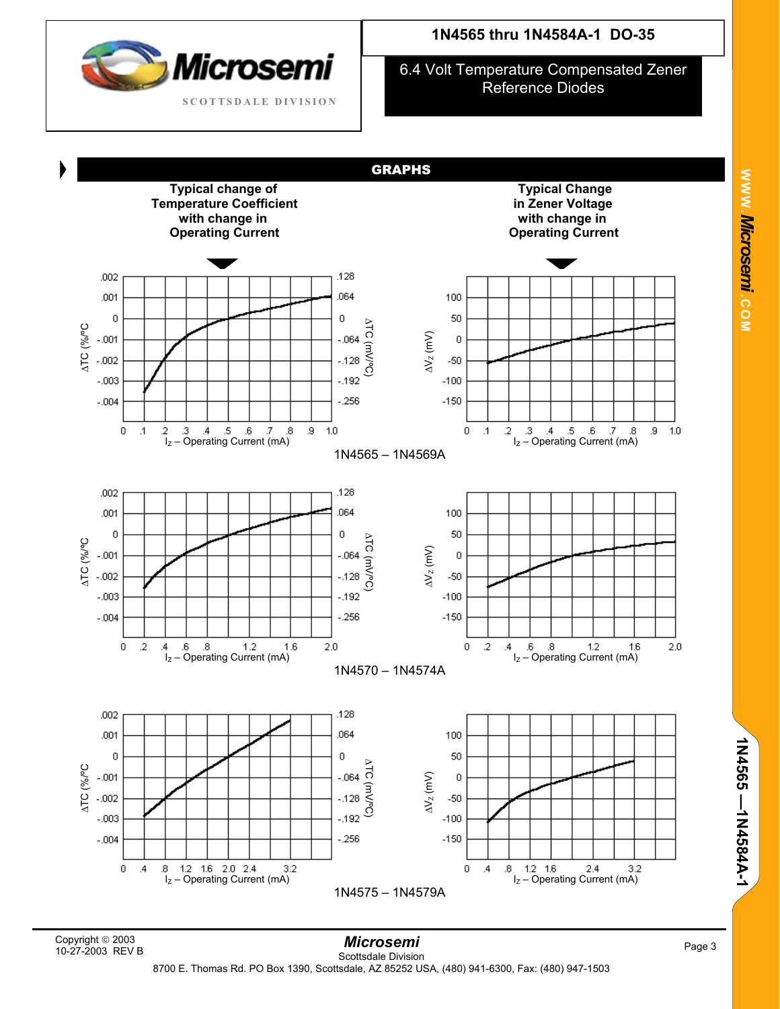

6.4 Volt Temperature Compensated Zener Reference Diodes



**1N4565 —1N4584A-1** 

1N4565 -- 1N4584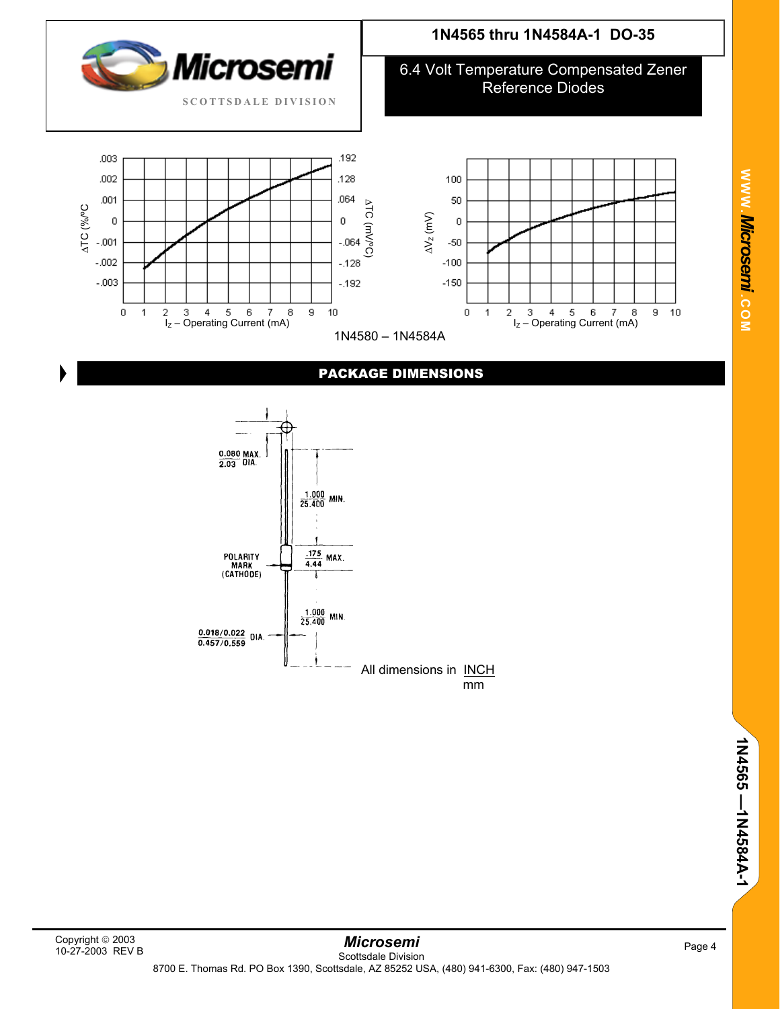

### PACKAGE DIMENSIONS



# **1N4565 thru 1N4584A-1 DO-35**

6.4 Volt Temperature Compensated Zener

**W W W**

*Mi* **.** *crosemi.*

**C O M**

9 10